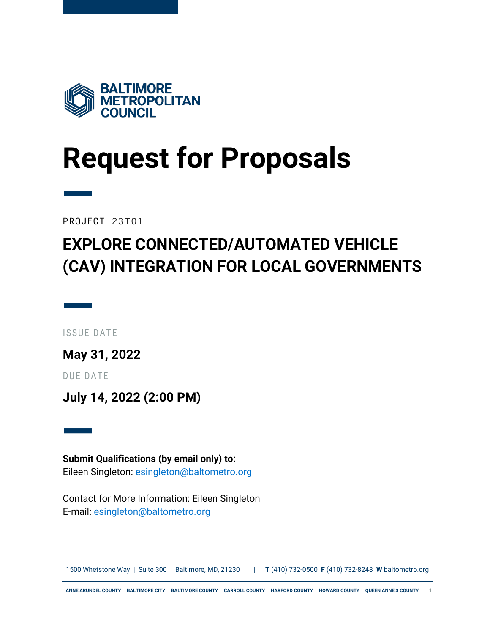

# <span id="page-0-0"></span>**Request for Proposals**

PROJECT 23T01

—

### **EXPLORE CONNECTED/AUTOMATED VEHICLE (CAV) INTEGRATION FOR LOCAL GOVERNMENTS**

— ISSUE DATE

**May 31, 2022**

DUE DATE

**July 14, 2022 (2:00 PM)**

— **Submit Qualifications (by email only) to:** Eileen Singleton: [esingleton@baltometro.org](mailto:esingleton@baltometro.org)

Contact for More Information: Eileen Singleton E-mail: [esingleton@baltometro.org](mailto:esingleton@baltometro.org)

1500 Whetstone Way | Suite 300 | Baltimore, MD, 21230 | **T** (410) 732-0500 **F** (410) 732-8248 **W** baltometro.org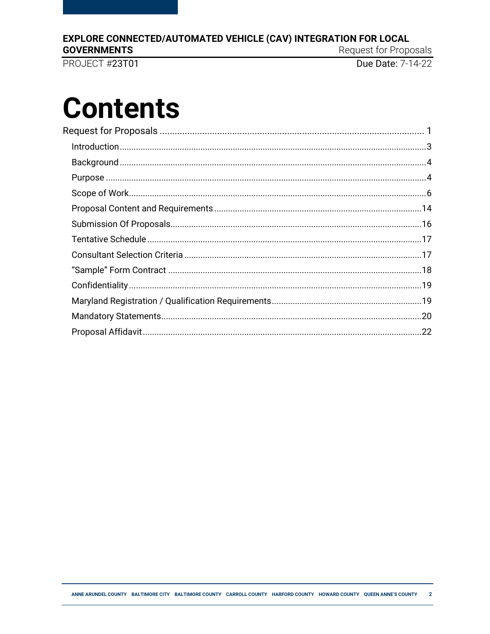### EXPLORE CONNECTED/AUTOMATED VEHICLE (CAV) INTEGRATION FOR LOCAL

**GOVERNMENTS** 

PROJECT #23T01

Request for Proposals

Due Date: 7-14-22

# **Contents**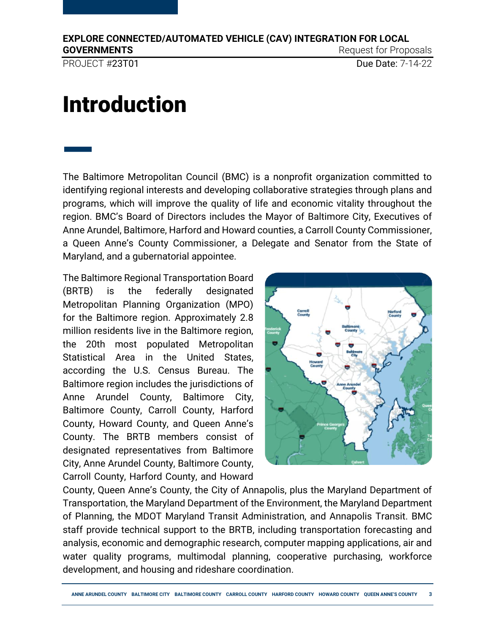PROJECT #23T01 Due Date: 7-14-22

—

# <span id="page-2-0"></span>Introduction

The Baltimore Metropolitan Council (BMC) is a nonprofit organization committed to identifying regional interests and developing collaborative strategies through plans and programs, which will improve the quality of life and economic vitality throughout the region. BMC's Board of Directors includes the Mayor of Baltimore City, Executives of Anne Arundel, Baltimore, Harford and Howard counties, a Carroll County Commissioner, a Queen Anne's County Commissioner, a Delegate and Senator from the State of Maryland, and a gubernatorial appointee.

The Baltimore Regional Transportation Board (BRTB) is the federally designated Metropolitan Planning Organization (MPO) for the Baltimore region. Approximately 2.8 million residents live in the Baltimore region, the 20th most populated Metropolitan Statistical Area in the United States, according the U.S. Census Bureau. The Baltimore region includes the jurisdictions of Anne Arundel County, Baltimore City, Baltimore County, Carroll County, Harford County, Howard County, and Queen Anne's County. The BRTB members consist of designated representatives from Baltimore City, Anne Arundel County, Baltimore County, Carroll County, Harford County, and Howard



County, Queen Anne's County, the City of Annapolis, plus the Maryland Department of Transportation, the Maryland Department of the Environment, the Maryland Department of Planning, the MDOT Maryland Transit Administration, and Annapolis Transit. BMC staff provide technical support to the BRTB, including transportation forecasting and analysis, economic and demographic research, computer mapping applications, air and water quality programs, multimodal planning, cooperative purchasing, workforce development, and housing and rideshare coordination.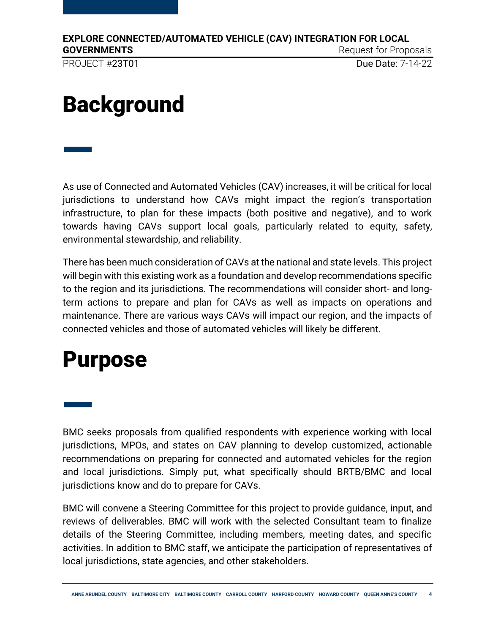PROJECT #23T01 Due Date: 7-14-22

—

# <span id="page-3-0"></span>**Background**

As use of Connected and Automated Vehicles (CAV) increases, it will be critical for local jurisdictions to understand how CAVs might impact the region's transportation infrastructure, to plan for these impacts (both positive and negative), and to work towards having CAVs support local goals, particularly related to equity, safety, environmental stewardship, and reliability.

There has been much consideration of CAVs at the national and state levels. This project will begin with this existing work as a foundation and develop recommendations specific to the region and its jurisdictions. The recommendations will consider short- and longterm actions to prepare and plan for CAVs as well as impacts on operations and maintenance. There are various ways CAVs will impact our region, and the impacts of connected vehicles and those of automated vehicles will likely be different.

## <span id="page-3-1"></span>Purpose

— BMC seeks proposals from qualified respondents with experience working with local jurisdictions, MPOs, and states on CAV planning to develop customized, actionable recommendations on preparing for connected and automated vehicles for the region and local jurisdictions. Simply put, what specifically should BRTB/BMC and local jurisdictions know and do to prepare for CAVs.

BMC will convene a Steering Committee for this project to provide guidance, input, and reviews of deliverables. BMC will work with the selected Consultant team to finalize details of the Steering Committee, including members, meeting dates, and specific activities. In addition to BMC staff, we anticipate the participation of representatives of local jurisdictions, state agencies, and other stakeholders.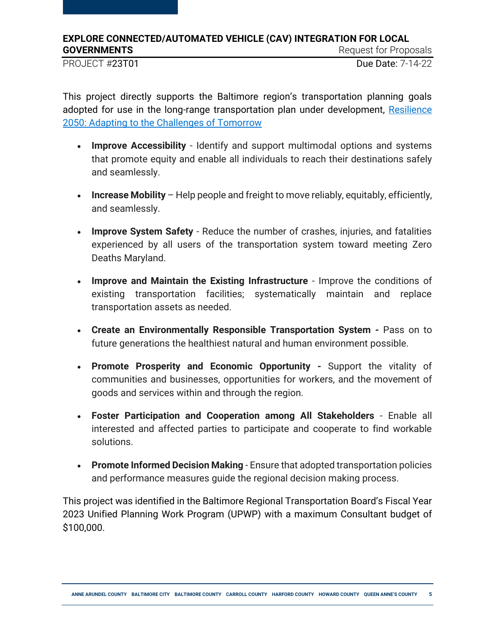PROJECT #23T01 Due Date: 7-14-22

This project directly supports the Baltimore region's transportation planning goals adopted for use in the long-range transportation plan under development, [Resilience](https://www.baltometro.org/transportation/plans/long-range-transportation-plan/resilience2050)  [2050: Adapting to the Challenges of Tomorrow](https://www.baltometro.org/transportation/plans/long-range-transportation-plan/resilience2050)

- **Improve Accessibility** Identify and support multimodal options and systems that promote equity and enable all individuals to reach their destinations safely and seamlessly.
- **Increase Mobility** Help people and freight to move reliably, equitably, efficiently, and seamlessly.
- **Improve System Safety** Reduce the number of crashes, injuries, and fatalities experienced by all users of the transportation system toward meeting Zero Deaths Maryland.
- **Improve and Maintain the Existing Infrastructure**  Improve the conditions of existing transportation facilities; systematically maintain and replace transportation assets as needed.
- **Create an Environmentally Responsible Transportation System -** Pass on to future generations the healthiest natural and human environment possible.
- **Promote Prosperity and Economic Opportunity -** Support the vitality of communities and businesses, opportunities for workers, and the movement of goods and services within and through the region.
- **Foster Participation and Cooperation among All Stakeholders**  Enable all interested and affected parties to participate and cooperate to find workable solutions.
- **Promote Informed Decision Making**  Ensure that adopted transportation policies and performance measures guide the regional decision making process.

<span id="page-4-0"></span>This project was identified in the Baltimore Regional Transportation Board's Fiscal Year 2023 Unified Planning Work Program (UPWP) with a maximum Consultant budget of \$100,000.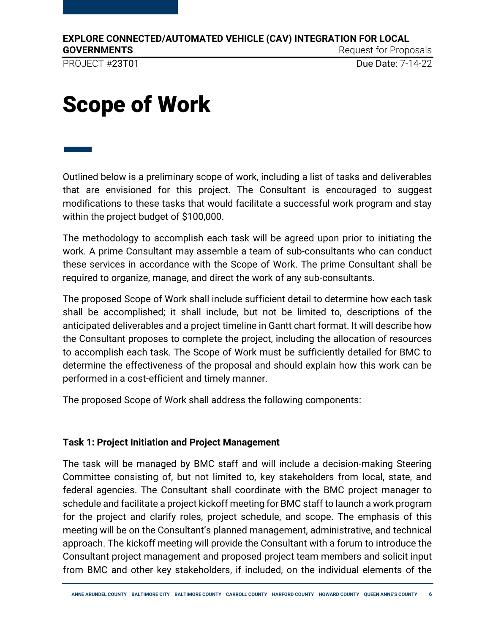PROJECT #23T01 Due Date: 7-14-22

# Scope of Work

— Outlined below is a preliminary scope of work, including a list of tasks and deliverables that are envisioned for this project. The Consultant is encouraged to suggest modifications to these tasks that would facilitate a successful work program and stay within the project budget of \$100,000.

The methodology to accomplish each task will be agreed upon prior to initiating the work. A prime Consultant may assemble a team of sub-consultants who can conduct these services in accordance with the Scope of Work. The prime Consultant shall be required to organize, manage, and direct the work of any sub-consultants.

The proposed Scope of Work shall include sufficient detail to determine how each task shall be accomplished; it shall include, but not be limited to, descriptions of the anticipated deliverables and a project timeline in Gantt chart format. It will describe how the Consultant proposes to complete the project, including the allocation of resources to accomplish each task. The Scope of Work must be sufficiently detailed for BMC to determine the effectiveness of the proposal and should explain how this work can be performed in a cost-efficient and timely manner.

The proposed Scope of Work shall address the following components:

### **Task 1: Project Initiation and Project Management**

The task will be managed by BMC staff and will include a decision-making Steering Committee consisting of, but not limited to, key stakeholders from local, state, and federal agencies. The Consultant shall coordinate with the BMC project manager to schedule and facilitate a project kickoff meeting for BMC staff to launch a work program for the project and clarify roles, project schedule, and scope. The emphasis of this meeting will be on the Consultant's planned management, administrative, and technical approach. The kickoff meeting will provide the Consultant with a forum to introduce the Consultant project management and proposed project team members and solicit input from BMC and other key stakeholders, if included, on the individual elements of the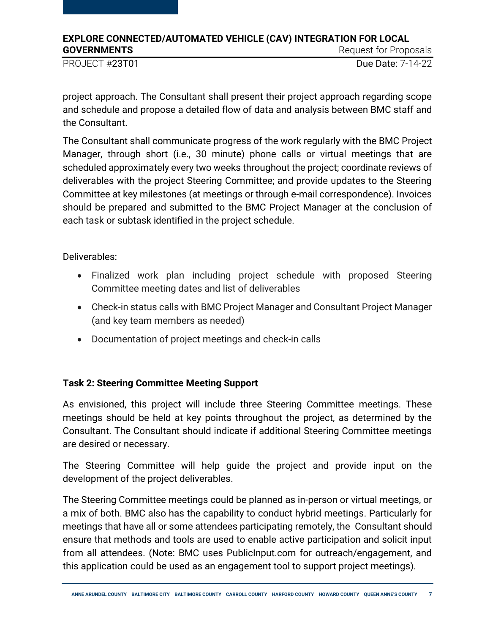PROJECT #23T01 Due Date: 7-14-22

project approach. The Consultant shall present their project approach regarding scope and schedule and propose a detailed flow of data and analysis between BMC staff and the Consultant.

The Consultant shall communicate progress of the work regularly with the BMC Project Manager, through short (i.e., 30 minute) phone calls or virtual meetings that are scheduled approximately every two weeks throughout the project; coordinate reviews of deliverables with the project Steering Committee; and provide updates to the Steering Committee at key milestones (at meetings or through e-mail correspondence). Invoices should be prepared and submitted to the BMC Project Manager at the conclusion of each task or subtask identified in the project schedule.

Deliverables:

- Finalized work plan including project schedule with proposed Steering Committee meeting dates and list of deliverables
- Check-in status calls with BMC Project Manager and Consultant Project Manager (and key team members as needed)
- Documentation of project meetings and check-in calls

### **Task 2: Steering Committee Meeting Support**

As envisioned, this project will include three Steering Committee meetings. These meetings should be held at key points throughout the project, as determined by the Consultant. The Consultant should indicate if additional Steering Committee meetings are desired or necessary.

The Steering Committee will help guide the project and provide input on the development of the project deliverables.

The Steering Committee meetings could be planned as in-person or virtual meetings, or a mix of both. BMC also has the capability to conduct hybrid meetings. Particularly for meetings that have all or some attendees participating remotely, the Consultant should ensure that methods and tools are used to enable active participation and solicit input from all attendees. (Note: BMC uses PublicInput.com for outreach/engagement, and this application could be used as an engagement tool to support project meetings).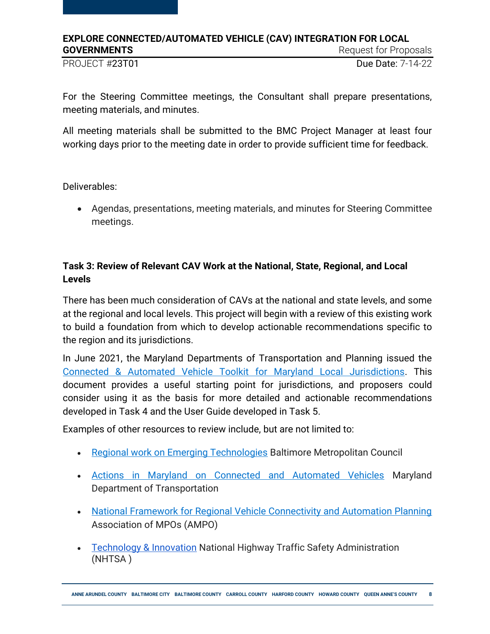PROJECT #23T01 Due Date: 7-14-22

For the Steering Committee meetings, the Consultant shall prepare presentations, meeting materials, and minutes.

All meeting materials shall be submitted to the BMC Project Manager at least four working days prior to the meeting date in order to provide sufficient time for feedback.

Deliverables:

 Agendas, presentations, meeting materials, and minutes for Steering Committee meetings.

### **Task 3: Review of Relevant CAV Work at the National, State, Regional, and Local Levels**

There has been much consideration of CAVs at the national and state levels, and some at the regional and local levels. This project will begin with a review of this existing work to build a foundation from which to develop actionable recommendations specific to the region and its jurisdictions.

In June 2021, the Maryland Departments of Transportation and Planning issued the [Connected & Automated Vehicle Toolkit for Maryland Local Jurisdictions.](https://mva.maryland.gov/safety/Documents/2021/Connected%20and%20Automated%20Vehicle%20Toolkit%20for%20Maryland%20Local%20Jurisdictions_June%202021.pdf) This document provides a useful starting point for jurisdictions, and proposers could consider using it as the basis for more detailed and actionable recommendations developed in Task 4 and the User Guide developed in Task 5.

Examples of other resources to review include, but are not limited to:

- [Regional work on Emerging Technologies](https://baltometro.org/transportation/planning-areas/multi-modal-planning/emerging-technologies) Baltimore Metropolitan Council
- [Actions in Maryland on Connected and Automated Vehicles](https://mva.maryland.gov/safety/Pages/MarylandCAV.aspx#:~:text=and%20its%20partners.-,Maryland%20Connected%20and%20Automated%20Vehicles%20(CAV)%20Working%20Group%20(see,emerging%20CAV%20technologies%20in%20Maryland.) Maryland Department of Transportation
- [National Framework for Regional Vehicle Connectivity and Automation Planning](https://www.ampo.org/wp-content/uploads/2019/04/2019-AMPO-Framework-11.pdf) Association of MPOs (AMPO)
- [Technology & Innovation](https://www.nhtsa.gov/technology-innovation) National Highway Traffic Safety Administration (NHTSA )

**ANNE ARUNDEL COUNTY BALTIMORE CITY BALTIMORE COUNTY CARROLL COUNTY HARFORD COUNTY HOWARD COUNTY QUEEN ANNE'S COUNTY 8**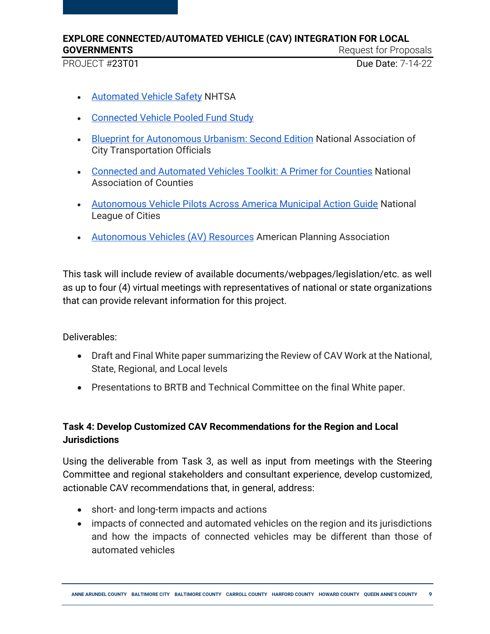PROJECT #23T01 Due Date: 7-14-22

- **[Automated Vehicle Safety](https://www.nhtsa.gov/technology-innovation/automated-vehicles-safety) NHTSA**
- [Connected Vehicle Pooled Fund Study](https://engineering.virginia.edu/cv-pfs)
- **[Blueprint for Autonomous Urbanism: Second Edition](https://nacto.org/publication/bau2/) National Association of** City Transportation Officials
- [Connected and Automated Vehicles Toolkit: A Primer for Counties](https://www.naco.org/resources/featured/connected-autonomous-vehicles-toolkit) National Association of Counties
- [Autonomous Vehicle Pilots Across America Municipal Action Guide](https://www.nlc.org/wp-content/uploads/2018/10/AV-MAG-Web.pdf) National League of Cities
- [Autonomous Vehicles \(AV\) Resources](https://planning.org/resources/av/) American Planning Association

This task will include review of available documents/webpages/legislation/etc. as well as up to four (4) virtual meetings with representatives of national or state organizations that can provide relevant information for this project.

Deliverables:

- Draft and Final White paper summarizing the Review of CAV Work at the National, State, Regional, and Local levels
- Presentations to BRTB and Technical Committee on the final White paper.

### **Task 4: Develop Customized CAV Recommendations for the Region and Local Jurisdictions**

Using the deliverable from Task 3, as well as input from meetings with the Steering Committee and regional stakeholders and consultant experience, develop customized, actionable CAV recommendations that, in general, address:

- short- and long-term impacts and actions
- impacts of connected and automated vehicles on the region and its jurisdictions and how the impacts of connected vehicles may be different than those of automated vehicles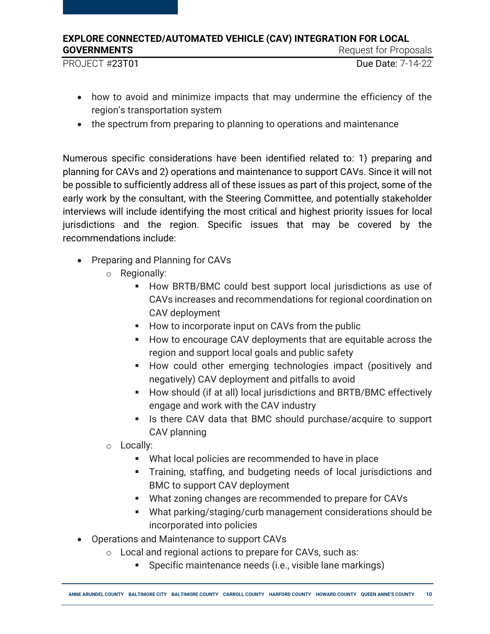PROJECT #23T01 Due Date: 7-14-22

- 
- how to avoid and minimize impacts that may undermine the efficiency of the region's transportation system
- the spectrum from preparing to planning to operations and maintenance

Numerous specific considerations have been identified related to: 1) preparing and planning for CAVs and 2) operations and maintenance to support CAVs. Since it will not be possible to sufficiently address all of these issues as part of this project, some of the early work by the consultant, with the Steering Committee, and potentially stakeholder interviews will include identifying the most critical and highest priority issues for local jurisdictions and the region. Specific issues that may be covered by the recommendations include:

- Preparing and Planning for CAVs
	- o Regionally:
		- **How BRTB/BMC could best support local jurisdictions as use of** CAVs increases and recommendations for regional coordination on CAV deployment
		- How to incorporate input on CAVs from the public
		- How to encourage CAV deployments that are equitable across the region and support local goals and public safety
		- How could other emerging technologies impact (positively and negatively) CAV deployment and pitfalls to avoid
		- **How should (if at all) local jurisdictions and BRTB/BMC effectively** engage and work with the CAV industry
		- Is there CAV data that BMC should purchase/acquire to support CAV planning
	- o Locally:
		- What local policies are recommended to have in place
		- Training, staffing, and budgeting needs of local jurisdictions and BMC to support CAV deployment
		- What zoning changes are recommended to prepare for CAVs
		- What parking/staging/curb management considerations should be incorporated into policies
- Operations and Maintenance to support CAVs
	- o Local and regional actions to prepare for CAVs, such as:
		- Specific maintenance needs (i.e., visible lane markings)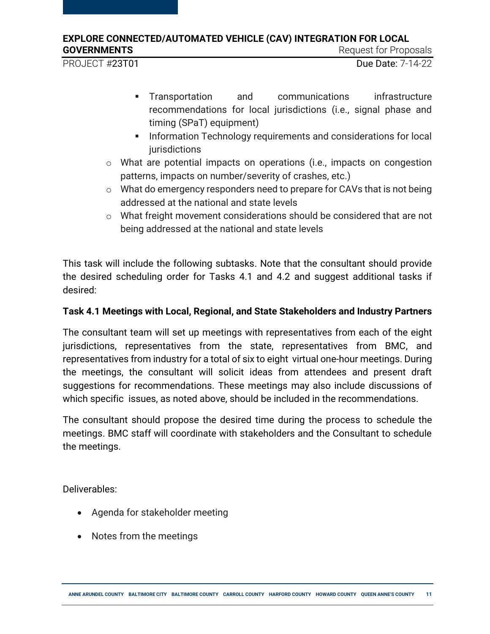PROJECT #23T01 Due Date: 7-14-22

- 
- Transportation and communications infrastructure recommendations for local jurisdictions (i.e., signal phase and timing (SPaT) equipment)
- **Information Technology requirements and considerations for local** jurisdictions
- o What are potential impacts on operations (i.e., impacts on congestion patterns, impacts on number/severity of crashes, etc.)
- $\circ$  What do emergency responders need to prepare for CAVs that is not being addressed at the national and state levels
- o What freight movement considerations should be considered that are not being addressed at the national and state levels

This task will include the following subtasks. Note that the consultant should provide the desired scheduling order for Tasks 4.1 and 4.2 and suggest additional tasks if desired:

### **Task 4.1 Meetings with Local, Regional, and State Stakeholders and Industry Partners**

The consultant team will set up meetings with representatives from each of the eight jurisdictions, representatives from the state, representatives from BMC, and representatives from industry for a total of six to eight virtual one-hour meetings. During the meetings, the consultant will solicit ideas from attendees and present draft suggestions for recommendations. These meetings may also include discussions of which specific issues, as noted above, should be included in the recommendations.

The consultant should propose the desired time during the process to schedule the meetings. BMC staff will coordinate with stakeholders and the Consultant to schedule the meetings.

Deliverables:

- Agenda for stakeholder meeting
- Notes from the meetings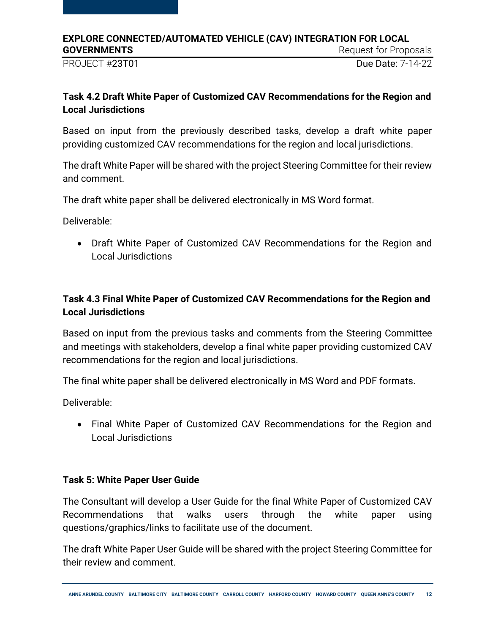PROJECT #23T01 Due Date: 7-14-22

### **Task 4.2 Draft White Paper of Customized CAV Recommendations for the Region and Local Jurisdictions**

Based on input from the previously described tasks, develop a draft white paper providing customized CAV recommendations for the region and local jurisdictions.

The draft White Paper will be shared with the project Steering Committee for their review and comment.

The draft white paper shall be delivered electronically in MS Word format.

Deliverable:

 Draft White Paper of Customized CAV Recommendations for the Region and Local Jurisdictions

### **Task 4.3 Final White Paper of Customized CAV Recommendations for the Region and Local Jurisdictions**

Based on input from the previous tasks and comments from the Steering Committee and meetings with stakeholders, develop a final white paper providing customized CAV recommendations for the region and local jurisdictions.

The final white paper shall be delivered electronically in MS Word and PDF formats.

Deliverable:

 Final White Paper of Customized CAV Recommendations for the Region and Local Jurisdictions

### **Task 5: White Paper User Guide**

The Consultant will develop a User Guide for the final White Paper of Customized CAV Recommendations that walks users through the white paper using questions/graphics/links to facilitate use of the document.

The draft White Paper User Guide will be shared with the project Steering Committee for their review and comment.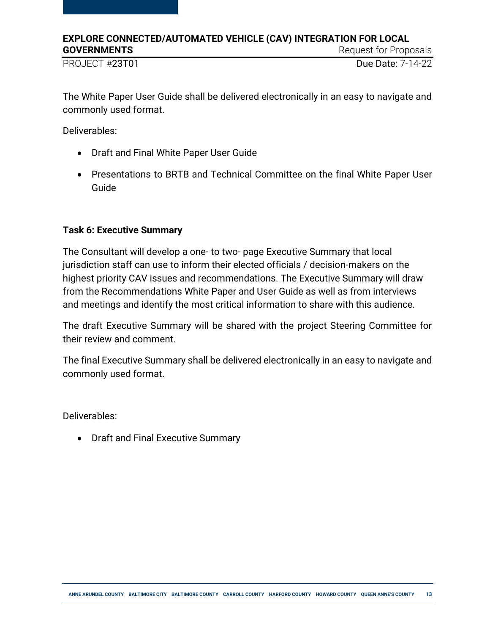PROJECT #23T01 Due Date: 7-14-22

The White Paper User Guide shall be delivered electronically in an easy to navigate and commonly used format.

Deliverables:

- Draft and Final White Paper User Guide
- Presentations to BRTB and Technical Committee on the final White Paper User Guide

### **Task 6: Executive Summary**

The Consultant will develop a one- to two- page Executive Summary that local jurisdiction staff can use to inform their elected officials / decision-makers on the highest priority CAV issues and recommendations. The Executive Summary will draw from the Recommendations White Paper and User Guide as well as from interviews and meetings and identify the most critical information to share with this audience.

The draft Executive Summary will be shared with the project Steering Committee for their review and comment.

The final Executive Summary shall be delivered electronically in an easy to navigate and commonly used format.

Deliverables:

• Draft and Final Executive Summary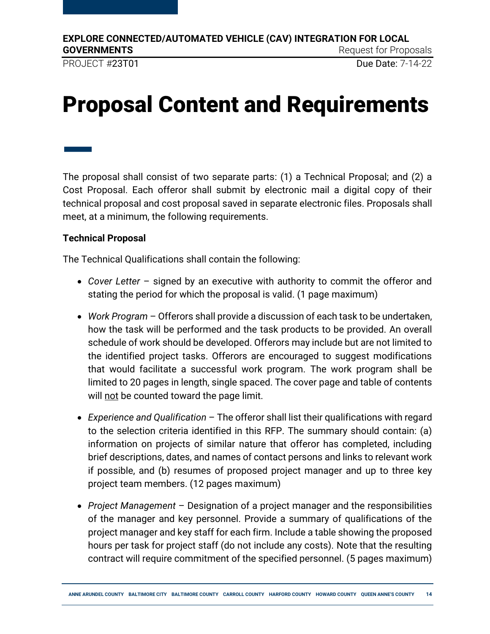PROJECT #23T01 Due Date: 7-14-22

# <span id="page-13-0"></span>Proposal Content and Requirements

— The proposal shall consist of two separate parts: (1) a Technical Proposal; and (2) a Cost Proposal. Each offeror shall submit by electronic mail a digital copy of their technical proposal and cost proposal saved in separate electronic files. Proposals shall meet, at a minimum, the following requirements.

### **Technical Proposal**

The Technical Qualifications shall contain the following:

- *Cover Letter*  signed by an executive with authority to commit the offeror and stating the period for which the proposal is valid. (1 page maximum)
- *Work Program* Offerors shall provide a discussion of each task to be undertaken, how the task will be performed and the task products to be provided. An overall schedule of work should be developed. Offerors may include but are not limited to the identified project tasks. Offerors are encouraged to suggest modifications that would facilitate a successful work program. The work program shall be limited to 20 pages in length, single spaced. The cover page and table of contents will not be counted toward the page limit.
- *Experience and Qualification* The offeror shall list their qualifications with regard to the selection criteria identified in this RFP. The summary should contain: (a) information on projects of similar nature that offeror has completed, including brief descriptions, dates, and names of contact persons and links to relevant work if possible, and (b) resumes of proposed project manager and up to three key project team members. (12 pages maximum)
- *Project Management*  Designation of a project manager and the responsibilities of the manager and key personnel. Provide a summary of qualifications of the project manager and key staff for each firm. Include a table showing the proposed hours per task for project staff (do not include any costs). Note that the resulting contract will require commitment of the specified personnel. (5 pages maximum)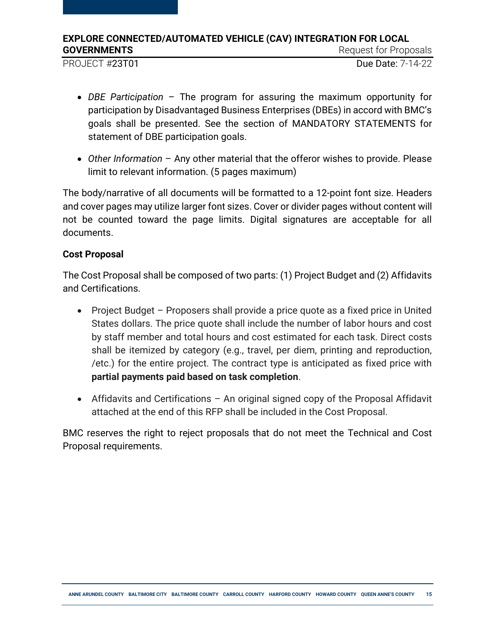PROJECT #23T01 Due Date: 7-14-22

- *DBE Participation*  The program for assuring the maximum opportunity for participation by Disadvantaged Business Enterprises (DBEs) in accord with BMC's goals shall be presented. See the section of MANDATORY STATEMENTS for statement of DBE participation goals.
- *Other Information* Any other material that the offeror wishes to provide. Please limit to relevant information. (5 pages maximum)

The body/narrative of all documents will be formatted to a 12-point font size. Headers and cover pages may utilize larger font sizes. Cover or divider pages without content will not be counted toward the page limits. Digital signatures are acceptable for all documents.

### **Cost Proposal**

The Cost Proposal shall be composed of two parts: (1) Project Budget and (2) Affidavits and Certifications.

- Project Budget Proposers shall provide a price quote as a fixed price in United States dollars. The price quote shall include the number of labor hours and cost by staff member and total hours and cost estimated for each task. Direct costs shall be itemized by category (e.g., travel, per diem, printing and reproduction, /etc.) for the entire project. The contract type is anticipated as fixed price with **partial payments paid based on task completion**.
- Affidavits and Certifications An original signed copy of the Proposal Affidavit attached at the end of this RFP shall be included in the Cost Proposal.

BMC reserves the right to reject proposals that do not meet the Technical and Cost Proposal requirements.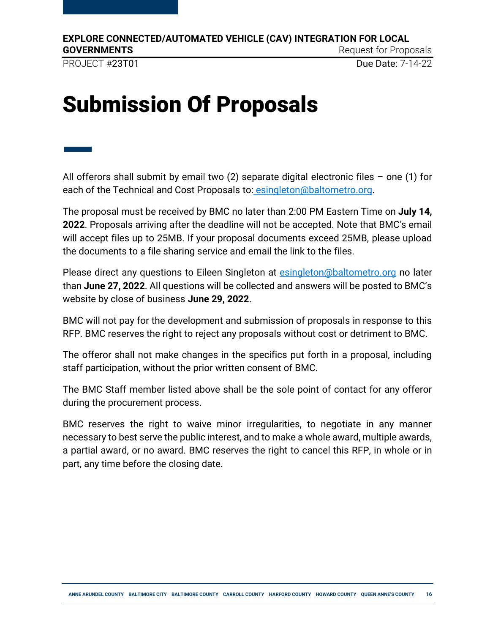PROJECT #23T01 Due Date: 7-14-22

# <span id="page-15-0"></span>Submission Of Proposals

— All offerors shall submit by email two  $(2)$  separate digital electronic files – one  $(1)$  for each of the Technical and Cost Proposals to: esingleton@baltometro.org.

The proposal must be received by BMC no later than 2:00 PM Eastern Time on **July 14, 2022**. Proposals arriving after the deadline will not be accepted. Note that BMC's email will accept files up to 25MB. If your proposal documents exceed 25MB, please upload the documents to a file sharing service and email the link to the files.

Please direct any questions to Eileen Singleton at **esingleton@baltometro.org** no later than **June 27, 2022**. All questions will be collected and answers will be posted to BMC's website by close of business **June 29, 2022**.

BMC will not pay for the development and submission of proposals in response to this RFP. BMC reserves the right to reject any proposals without cost or detriment to BMC.

The offeror shall not make changes in the specifics put forth in a proposal, including staff participation, without the prior written consent of BMC.

The BMC Staff member listed above shall be the sole point of contact for any offeror during the procurement process.

BMC reserves the right to waive minor irregularities, to negotiate in any manner necessary to best serve the public interest, and to make a whole award, multiple awards, a partial award, or no award. BMC reserves the right to cancel this RFP, in whole or in part, any time before the closing date.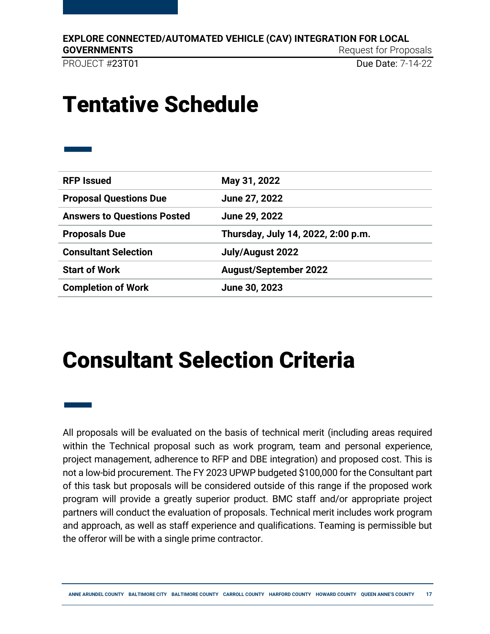**EXPLORE CONNECTED/AUTOMATED VEHICLE (CAV) INTEGRATION FOR LOCAL** 

**GOVERNMENTS** Request for Proposals

PROJECT #23T01 Due Date: 7-14-22

### <span id="page-16-0"></span>Tentative Schedule

| <b>RFP Issued</b>                  | May 31, 2022                       |  |
|------------------------------------|------------------------------------|--|
| <b>Proposal Questions Due</b>      | June 27, 2022                      |  |
| <b>Answers to Questions Posted</b> | June 29, 2022                      |  |
| <b>Proposals Due</b>               | Thursday, July 14, 2022, 2:00 p.m. |  |
| <b>Consultant Selection</b>        | July/August 2022                   |  |
| <b>Start of Work</b>               | <b>August/September 2022</b>       |  |
| <b>Completion of Work</b>          | June 30, 2023                      |  |

### <span id="page-16-1"></span>Consultant Selection Criteria

— All proposals will be evaluated on the basis of technical merit (including areas required within the Technical proposal such as work program, team and personal experience, project management, adherence to RFP and DBE integration) and proposed cost. This is not a low-bid procurement. The FY 2023 UPWP budgeted \$100,000 for the Consultant part of this task but proposals will be considered outside of this range if the proposed work program will provide a greatly superior product. BMC staff and/or appropriate project partners will conduct the evaluation of proposals. Technical merit includes work program and approach, as well as staff experience and qualifications. Teaming is permissible but the offeror will be with a single prime contractor.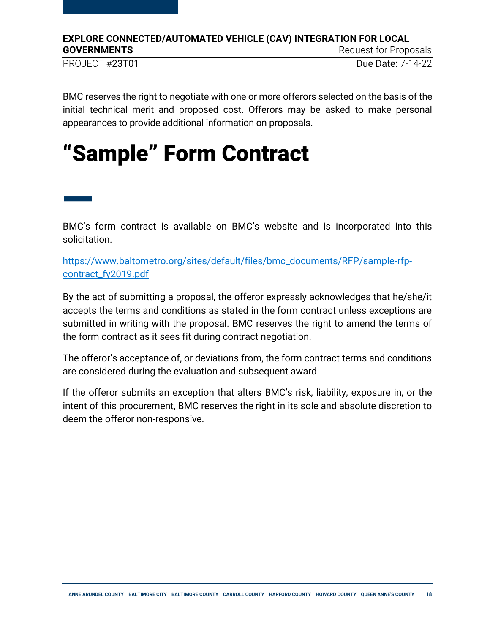PROJECT #23T01 Due Date: 7-14-22

BMC reserves the right to negotiate with one or more offerors selected on the basis of the initial technical merit and proposed cost. Offerors may be asked to make personal appearances to provide additional information on proposals.

## <span id="page-17-0"></span>"Sample" Form Contract

— BMC's form contract is available on BMC's website and is incorporated into this solicitation.

[https://www.baltometro.org/sites/default/files/bmc\\_documents/RFP/sample-rfp](https://www.baltometro.org/sites/default/files/bmc_documents/RFP/sample-rfp-contract_fy2019.pdf)[contract\\_fy2019.pdf](https://www.baltometro.org/sites/default/files/bmc_documents/RFP/sample-rfp-contract_fy2019.pdf)

By the act of submitting a proposal, the offeror expressly acknowledges that he/she/it accepts the terms and conditions as stated in the form contract unless exceptions are submitted in writing with the proposal. BMC reserves the right to amend the terms of the form contract as it sees fit during contract negotiation.

The offeror's acceptance of, or deviations from, the form contract terms and conditions are considered during the evaluation and subsequent award.

If the offeror submits an exception that alters BMC's risk, liability, exposure in, or the intent of this procurement, BMC reserves the right in its sole and absolute discretion to deem the offeror non-responsive.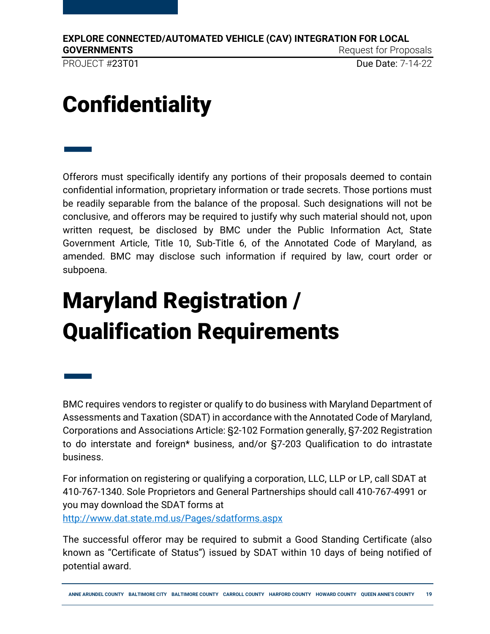—

PROJECT #23T01 Due Date: 7-14-22

# <span id="page-18-0"></span>**Confidentiality**

— Offerors must specifically identify any portions of their proposals deemed to contain confidential information, proprietary information or trade secrets. Those portions must be readily separable from the balance of the proposal. Such designations will not be conclusive, and offerors may be required to justify why such material should not, upon written request, be disclosed by BMC under the Public Information Act, State Government Article, Title 10, Sub-Title 6, of the Annotated Code of Maryland, as amended. BMC may disclose such information if required by law, court order or subpoena.

# <span id="page-18-1"></span>Maryland Registration / Qualification Requirements

BMC requires vendors to register or qualify to do business with Maryland Department of Assessments and Taxation (SDAT) in accordance with the Annotated Code of Maryland, Corporations and Associations Article: §2-102 Formation generally, §7-202 Registration to do interstate and foreign\* business, and/or §7-203 Qualification to do intrastate business.

For information on registering or qualifying a corporation, LLC, LLP or LP, call SDAT at 410-767-1340. Sole Proprietors and General Partnerships should call 410-767-4991 or you may download the SDAT forms at <http://www.dat.state.md.us/Pages/sdatforms.aspx>

The successful offeror may be required to submit a Good Standing Certificate (also known as "Certificate of Status") issued by SDAT within 10 days of being notified of potential award.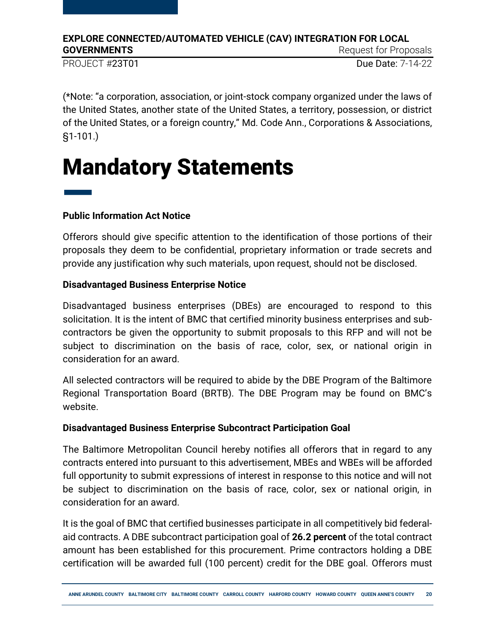PROJECT #23T01 Due Date: 7-14-22

(\*Note: "a corporation, association, or joint-stock company organized under the laws of the United States, another state of the United States, a territory, possession, or district of the United States, or a foreign country," Md. Code Ann., Corporations & Associations, §1-101.)

# <span id="page-19-0"></span>Mandatory Statements

# — **Public Information Act Notice**

Offerors should give specific attention to the identification of those portions of their proposals they deem to be confidential, proprietary information or trade secrets and provide any justification why such materials, upon request, should not be disclosed.

### **Disadvantaged Business Enterprise Notice**

Disadvantaged business enterprises (DBEs) are encouraged to respond to this solicitation. It is the intent of BMC that certified minority business enterprises and subcontractors be given the opportunity to submit proposals to this RFP and will not be subject to discrimination on the basis of race, color, sex, or national origin in consideration for an award.

All selected contractors will be required to abide by the DBE Program of the Baltimore Regional Transportation Board (BRTB). The DBE Program may be found on BMC's website.

### **Disadvantaged Business Enterprise Subcontract Participation Goal**

The Baltimore Metropolitan Council hereby notifies all offerors that in regard to any contracts entered into pursuant to this advertisement, MBEs and WBEs will be afforded full opportunity to submit expressions of interest in response to this notice and will not be subject to discrimination on the basis of race, color, sex or national origin, in consideration for an award.

It is the goal of BMC that certified businesses participate in all competitively bid federalaid contracts. A DBE subcontract participation goal of **26.2 percent** of the total contract amount has been established for this procurement. Prime contractors holding a DBE certification will be awarded full (100 percent) credit for the DBE goal. Offerors must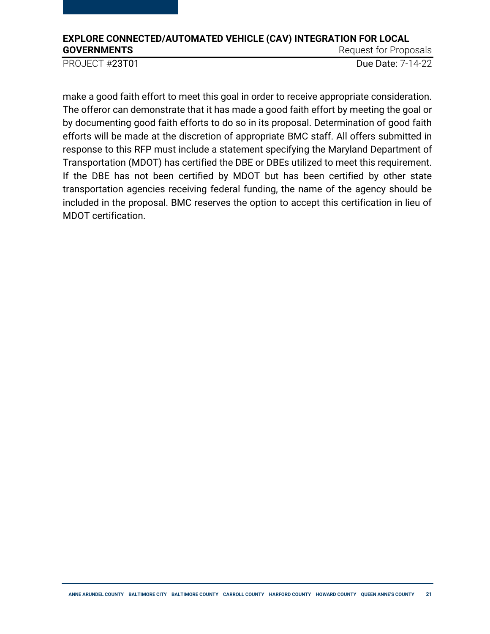PROJECT #23T01 Due Date: 7-14-22

make a good faith effort to meet this goal in order to receive appropriate consideration. The offeror can demonstrate that it has made a good faith effort by meeting the goal or by documenting good faith efforts to do so in its proposal. Determination of good faith efforts will be made at the discretion of appropriate BMC staff. All offers submitted in response to this RFP must include a statement specifying the Maryland Department of Transportation (MDOT) has certified the DBE or DBEs utilized to meet this requirement. If the DBE has not been certified by MDOT but has been certified by other state transportation agencies receiving federal funding, the name of the agency should be included in the proposal. BMC reserves the option to accept this certification in lieu of MDOT certification.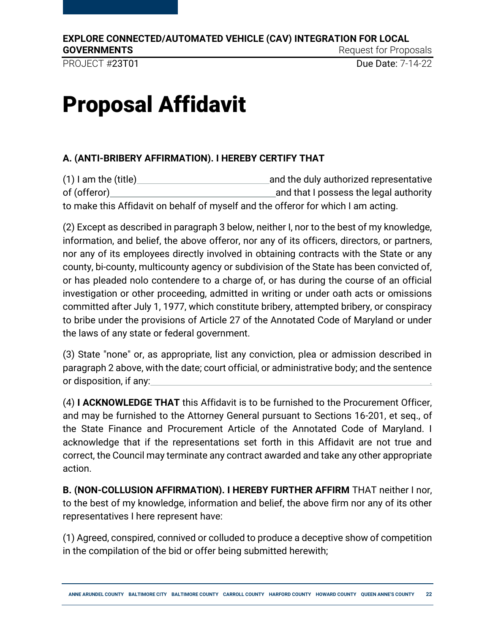PROJECT #23T01 Due Date: 7-14-22

# <span id="page-21-0"></span>Proposal Affidavit

### **A. (ANTI-BRIBERY AFFIRMATION). I HEREBY CERTIFY THAT**

(1) I am the (title) and the duly authorized representative of (offeror) and that I possess the legal authority to make this Affidavit on behalf of myself and the offeror for which I am acting.

(2) Except as described in paragraph 3 below, neither I, nor to the best of my knowledge, information, and belief, the above offeror, nor any of its officers, directors, or partners, nor any of its employees directly involved in obtaining contracts with the State or any county, bi-county, multicounty agency or subdivision of the State has been convicted of, or has pleaded nolo contendere to a charge of, or has during the course of an official investigation or other proceeding, admitted in writing or under oath acts or omissions committed after July 1, 1977, which constitute bribery, attempted bribery, or conspiracy to bribe under the provisions of Article 27 of the Annotated Code of Maryland or under the laws of any state or federal government.

(3) State "none" or, as appropriate, list any conviction, plea or admission described in paragraph 2 above, with the date; court official, or administrative body; and the sentence or disposition, if any:

(4) **I ACKNOWLEDGE THAT** this Affidavit is to be furnished to the Procurement Officer, and may be furnished to the Attorney General pursuant to Sections 16-201, et seq., of the State Finance and Procurement Article of the Annotated Code of Maryland. I acknowledge that if the representations set forth in this Affidavit are not true and correct, the Council may terminate any contract awarded and take any other appropriate action.

**B. (NON-COLLUSION AFFIRMATION). I HEREBY FURTHER AFFIRM** THAT neither I nor, to the best of my knowledge, information and belief, the above firm nor any of its other representatives I here represent have:

(1) Agreed, conspired, connived or colluded to produce a deceptive show of competition in the compilation of the bid or offer being submitted herewith;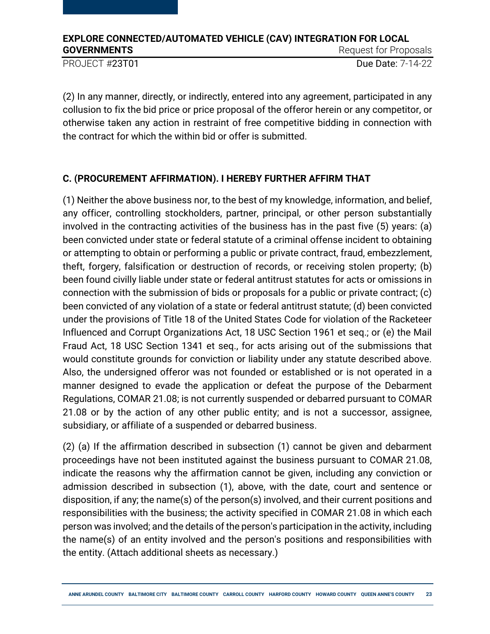PROJECT #23T01 Due Date: 7-14-22

(2) In any manner, directly, or indirectly, entered into any agreement, participated in any collusion to fix the bid price or price proposal of the offeror herein or any competitor, or otherwise taken any action in restraint of free competitive bidding in connection with the contract for which the within bid or offer is submitted.

### **C. (PROCUREMENT AFFIRMATION). I HEREBY FURTHER AFFIRM THAT**

(1) Neither the above business nor, to the best of my knowledge, information, and belief, any officer, controlling stockholders, partner, principal, or other person substantially involved in the contracting activities of the business has in the past five (5) years: (a) been convicted under state or federal statute of a criminal offense incident to obtaining or attempting to obtain or performing a public or private contract, fraud, embezzlement, theft, forgery, falsification or destruction of records, or receiving stolen property; (b) been found civilly liable under state or federal antitrust statutes for acts or omissions in connection with the submission of bids or proposals for a public or private contract; (c) been convicted of any violation of a state or federal antitrust statute; (d) been convicted under the provisions of Title 18 of the United States Code for violation of the Racketeer Influenced and Corrupt Organizations Act, 18 USC Section 1961 et seq.; or (e) the Mail Fraud Act, 18 USC Section 1341 et seq., for acts arising out of the submissions that would constitute grounds for conviction or liability under any statute described above. Also, the undersigned offeror was not founded or established or is not operated in a manner designed to evade the application or defeat the purpose of the Debarment Regulations, COMAR 21.08; is not currently suspended or debarred pursuant to COMAR 21.08 or by the action of any other public entity; and is not a successor, assignee, subsidiary, or affiliate of a suspended or debarred business.

(2) (a) If the affirmation described in subsection (1) cannot be given and debarment proceedings have not been instituted against the business pursuant to COMAR 21.08, indicate the reasons why the affirmation cannot be given, including any conviction or admission described in subsection (1), above, with the date, court and sentence or disposition, if any; the name(s) of the person(s) involved, and their current positions and responsibilities with the business; the activity specified in COMAR 21.08 in which each person was involved; and the details of the person's participation in the activity, including the name(s) of an entity involved and the person's positions and responsibilities with the entity. (Attach additional sheets as necessary.)